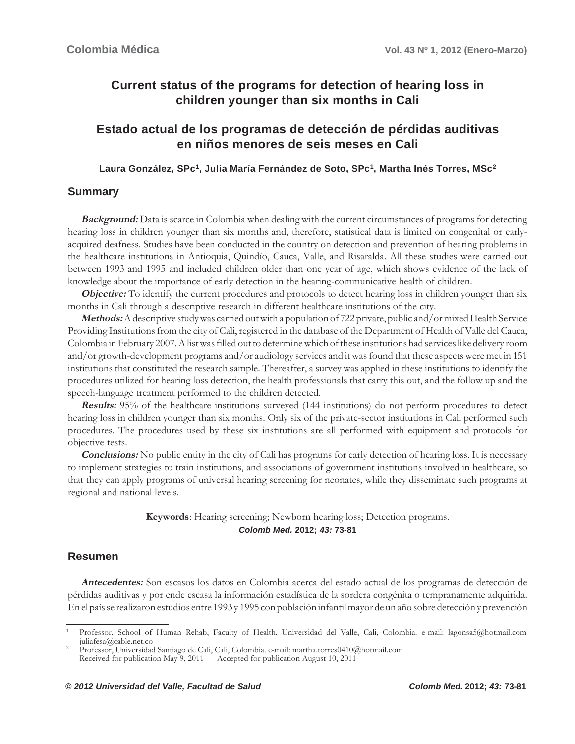# **Current status of the programs for detection of hearing loss in children younger than six months in Cali**

# **Estado actual de los programas de detección de pérdidas auditivas en niños menores de seis meses en Cali**

Laura González, SPc<sup>1</sup>, Julia María Fernández de Soto, SPc<sup>1</sup>, Martha Inés Torres, MSc<sup>2</sup>

# **Summary**

**Background:** Data is scarce in Colombia when dealing with the current circumstances of programs for detecting hearing loss in children younger than six months and, therefore, statistical data is limited on congenital or earlyacquired deafness. Studies have been conducted in the country on detection and prevention of hearing problems in the healthcare institutions in Antioquia, Quindío, Cauca, Valle, and Risaralda. All these studies were carried out between 1993 and 1995 and included children older than one year of age, which shows evidence of the lack of knowledge about the importance of early detection in the hearing-communicative health of children.

**Objective:** To identify the current procedures and protocols to detect hearing loss in children younger than six months in Cali through a descriptive research in different healthcare institutions of the city.

**Methods:** A descriptive study was carried out with a population of 722 private, public and/or mixed Health Service Providing Institutions from the city of Cali, registered in the database of the Department of Health of Valle del Cauca, Colombia in February 2007. A list was filled out to determine which of these institutions had services like delivery room and/or growth-development programs and/or audiology services and it was found that these aspects were met in 151 institutions that constituted the research sample. Thereafter, a survey was applied in these institutions to identify the procedures utilized for hearing loss detection, the health professionals that carry this out, and the follow up and the speech-language treatment performed to the children detected.

**Results:** 95% of the healthcare institutions surveyed (144 institutions) do not perform procedures to detect hearing loss in children younger than six months. Only six of the private-sector institutions in Cali performed such procedures. The procedures used by these six institutions are all performed with equipment and protocols for objective tests.

**Conclusions:** No public entity in the city of Cali has programs for early detection of hearing loss. It is necessary to implement strategies to train institutions, and associations of government institutions involved in healthcare, so that they can apply programs of universal hearing screening for neonates, while they disseminate such programs at regional and national levels.

### **Keywords**: Hearing screening; Newborn hearing loss; Detection programs. *Colomb Med.* **2012;** *43:* **73-81**

# **Resumen**

**Antecedentes:** Son escasos los datos en Colombia acerca del estado actual de los programas de detección de pérdidas auditivas y por ende escasa la información estadística de la sordera congénita o tempranamente adquirida. En el país se realizaron estudios entre 1993 y 1995 con población infantil mayor de un año sobre detección y prevención

<sup>1</sup> Professor, School of Human Rehab, Faculty of Health, Universidad del Valle, Cali, Colombia. e-mail: lagonsa5@hotmail.com juliafesa@cable.net.co <sup>2</sup> Professor, Universidad Santiago de Cali, Cali, Colombia. e-mail: martha.torres0410@hotmail.com

Received for publication May 9, 2011 Accepted for publication August 10, 2011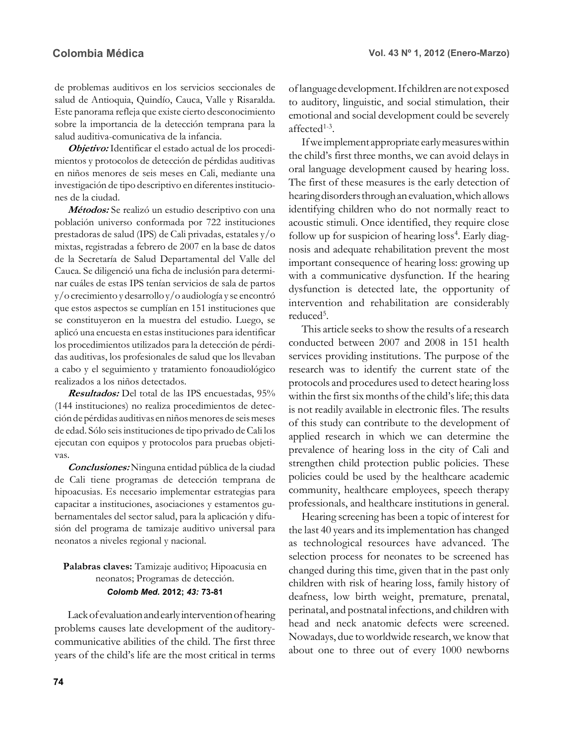de problemas auditivos en los servicios seccionales de salud de Antioquia, Quindío, Cauca, Valle y Risaralda. Este panorama refleja que existe cierto desconocimiento sobre la importancia de la detección temprana para la salud auditiva-comunicativa de la infancia.

**Objetivo:** Identificar el estado actual de los procedimientos y protocolos de detección de pérdidas auditivas en niños menores de seis meses en Cali, mediante una investigación de tipo descriptivo en diferentes instituciones de la ciudad.

**Métodos:** Se realizó un estudio descriptivo con una población universo conformada por 722 instituciones prestadoras de salud (IPS) de Cali privadas, estatales y/o mixtas, registradas a febrero de 2007 en la base de datos de la Secretaría de Salud Departamental del Valle del Cauca. Se diligenció una ficha de inclusión para determinar cuáles de estas IPS tenían servicios de sala de partos y/o crecimiento y desarrollo y/o audiología y se encontró que estos aspectos se cumplían en 151 instituciones que se constituyeron en la muestra del estudio. Luego, se aplicó una encuesta en estas instituciones para identificar los procedimientos utilizados para la detección de pérdidas auditivas, los profesionales de salud que los llevaban a cabo y el seguimiento y tratamiento fonoaudiológico realizados a los niños detectados.

**Resultados:** Del total de las IPS encuestadas, 95% (144 instituciones) no realiza procedimientos de detección de pérdidas auditivas en niños menores de seis meses de edad. Sólo seis instituciones de tipo privado de Cali los ejecutan con equipos y protocolos para pruebas objetivas.

**Conclusiones:** Ninguna entidad pública de la ciudad de Cali tiene programas de detección temprana de hipoacusias. Es necesario implementar estrategias para capacitar a instituciones, asociaciones y estamentos gubernamentales del sector salud, para la aplicación y difusión del programa de tamizaje auditivo universal para neonatos a niveles regional y nacional.

## **Palabras claves:** Tamizaje auditivo; Hipoacusia en neonatos; Programas de detección. *Colomb Med.* **2012;** *43:* **73-81**

Lack of evaluation and early intervention of hearing problems causes late development of the auditorycommunicative abilities of the child. The first three years of the child's life are the most critical in terms of language development. If children are not exposed to auditory, linguistic, and social stimulation, their emotional and social development could be severely affected1-3.

If we implement appropriate early measures within the child's first three months, we can avoid delays in oral language development caused by hearing loss. The first of these measures is the early detection of hearing disorders through an evaluation, which allows identifying children who do not normally react to acoustic stimuli. Once identified, they require close follow up for suspicion of hearing loss<sup>4</sup>. Early diagnosis and adequate rehabilitation prevent the most important consequence of hearing loss: growing up with a communicative dysfunction. If the hearing dysfunction is detected late, the opportunity of intervention and rehabilitation are considerably reduced<sup>5</sup>.

This article seeks to show the results of a research conducted between 2007 and 2008 in 151 health services providing institutions. The purpose of the research was to identify the current state of the protocols and procedures used to detect hearing loss within the first six months of the child's life; this data is not readily available in electronic files. The results of this study can contribute to the development of applied research in which we can determine the prevalence of hearing loss in the city of Cali and strengthen child protection public policies. These policies could be used by the healthcare academic community, healthcare employees, speech therapy professionals, and healthcare institutions in general.

Hearing screening has been a topic of interest for the last 40 years and its implementation has changed as technological resources have advanced. The selection process for neonates to be screened has changed during this time, given that in the past only children with risk of hearing loss, family history of deafness, low birth weight, premature, prenatal, perinatal, and postnatal infections, and children with head and neck anatomic defects were screened. Nowadays, due to worldwide research, we know that about one to three out of every 1000 newborns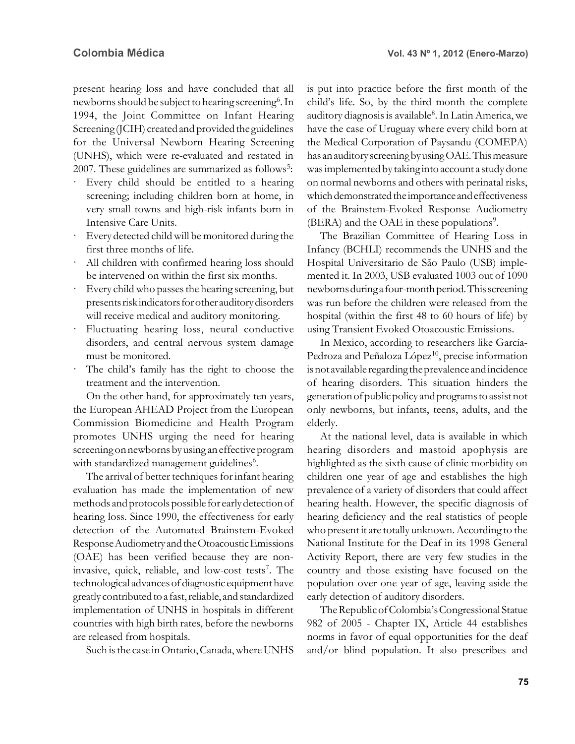present hearing loss and have concluded that all newborns should be subject to hearing screening<sup>6</sup>. In 1994, the Joint Committee on Infant Hearing Screening (JCIH) created and provided the guidelines for the Universal Newborn Hearing Screening (UNHS), which were re-evaluated and restated in 2007. These guidelines are summarized as follows<sup>5</sup>:

- · Every child should be entitled to a hearing screening; including children born at home, in very small towns and high-risk infants born in Intensive Care Units.
- Every detected child will be monitored during the first three months of life.
- · All children with confirmed hearing loss should be intervened on within the first six months.
- Every child who passes the hearing screening, but presents risk indicators for other auditory disorders will receive medical and auditory monitoring.
- Fluctuating hearing loss, neural conductive disorders, and central nervous system damage must be monitored.
- The child's family has the right to choose the treatment and the intervention.

On the other hand, for approximately ten years, the European AHEAD Project from the European Commission Biomedicine and Health Program promotes UNHS urging the need for hearing screening on newborns by using an effective program with standardized management guidelines<sup>6</sup>.

The arrival of better techniques for infant hearing evaluation has made the implementation of new methods and protocols possible for early detection of hearing loss. Since 1990, the effectiveness for early detection of the Automated Brainstem-Evoked Response Audiometry and the Otoacoustic Emissions (OAE) has been verified because they are noninvasive, quick, reliable, and low-cost tests<sup>7</sup>. The technological advances of diagnostic equipment have greatly contributed to a fast, reliable, and standardized implementation of UNHS in hospitals in different countries with high birth rates, before the newborns are released from hospitals.

Such is the case in Ontario, Canada, where UNHS

is put into practice before the first month of the child's life. So, by the third month the complete auditory diagnosis is available<sup>8</sup>. In Latin America, we have the case of Uruguay where every child born at the Medical Corporation of Paysandu (COMEPA) has an auditory screening by using OAE. This measure was implemented by taking into account a study done on normal newborns and others with perinatal risks, which demonstrated the importance and effectiveness of the Brainstem-Evoked Response Audiometry (BERA) and the OAE in these populations<sup>9</sup>.

The Brazilian Committee of Hearing Loss in Infancy (BCHLI) recommends the UNHS and the Hospital Universitario de São Paulo (USB) implemented it. In 2003, USB evaluated 1003 out of 1090 newborns during a four-month period. This screening was run before the children were released from the hospital (within the first 48 to 60 hours of life) by using Transient Evoked Otoacoustic Emissions.

In Mexico, according to researchers like García-Pedroza and Peñaloza López<sup>10</sup>, precise information is not available regarding the prevalence and incidence of hearing disorders. This situation hinders the generation of public policy and programs to assist not only newborns, but infants, teens, adults, and the elderly.

At the national level, data is available in which hearing disorders and mastoid apophysis are highlighted as the sixth cause of clinic morbidity on children one year of age and establishes the high prevalence of a variety of disorders that could affect hearing health. However, the specific diagnosis of hearing deficiency and the real statistics of people who present it are totally unknown. According to the National Institute for the Deaf in its 1998 General Activity Report, there are very few studies in the country and those existing have focused on the population over one year of age, leaving aside the early detection of auditory disorders.

The Republic of Colombia's Congressional Statue 982 of 2005 - Chapter IX, Article 44 establishes norms in favor of equal opportunities for the deaf and/or blind population. It also prescribes and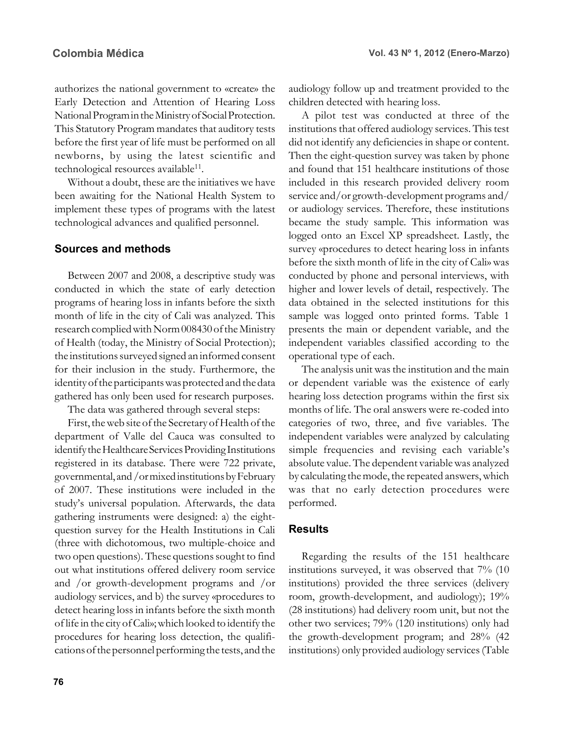authorizes the national government to «create» the Early Detection and Attention of Hearing Loss National Program in the Ministry of Social Protection. This Statutory Program mandates that auditory tests before the first year of life must be performed on all newborns, by using the latest scientific and technological resources available<sup>11</sup>.

Without a doubt, these are the initiatives we have been awaiting for the National Health System to implement these types of programs with the latest technological advances and qualified personnel.

### **Sources and methods**

Between 2007 and 2008, a descriptive study was conducted in which the state of early detection programs of hearing loss in infants before the sixth month of life in the city of Cali was analyzed. This research complied with Norm 008430 of the Ministry of Health (today, the Ministry of Social Protection); the institutions surveyed signed an informed consent for their inclusion in the study. Furthermore, the identity of the participants was protected and the data gathered has only been used for research purposes.

The data was gathered through several steps:

First, the web site of the Secretary of Health of the department of Valle del Cauca was consulted to identify the Healthcare Services Providing Institutions registered in its database. There were 722 private, governmental, and /or mixed institutions by February of 2007. These institutions were included in the study's universal population. Afterwards, the data gathering instruments were designed: a) the eightquestion survey for the Health Institutions in Cali (three with dichotomous, two multiple-choice and two open questions). These questions sought to find out what institutions offered delivery room service and /or growth-development programs and /or audiology services, and b) the survey «procedures to detect hearing loss in infants before the sixth month of life in the city of Cali»; which looked to identify the procedures for hearing loss detection, the qualifications of the personnel performing the tests, and the audiology follow up and treatment provided to the children detected with hearing loss.

A pilot test was conducted at three of the institutions that offered audiology services. This test did not identify any deficiencies in shape or content. Then the eight-question survey was taken by phone and found that 151 healthcare institutions of those included in this research provided delivery room service and/or growth-development programs and/ or audiology services. Therefore, these institutions became the study sample. This information was logged onto an Excel XP spreadsheet. Lastly, the survey «procedures to detect hearing loss in infants before the sixth month of life in the city of Cali» was conducted by phone and personal interviews, with higher and lower levels of detail, respectively. The data obtained in the selected institutions for this sample was logged onto printed forms. Table 1 presents the main or dependent variable, and the independent variables classified according to the operational type of each.

The analysis unit was the institution and the main or dependent variable was the existence of early hearing loss detection programs within the first six months of life. The oral answers were re-coded into categories of two, three, and five variables. The independent variables were analyzed by calculating simple frequencies and revising each variable's absolute value. The dependent variable was analyzed by calculating the mode, the repeated answers, which was that no early detection procedures were performed.

### **Results**

Regarding the results of the 151 healthcare institutions surveyed, it was observed that 7% (10 institutions) provided the three services (delivery room, growth-development, and audiology); 19% (28 institutions) had delivery room unit, but not the other two services; 79% (120 institutions) only had the growth-development program; and 28% (42 institutions) only provided audiology services (Table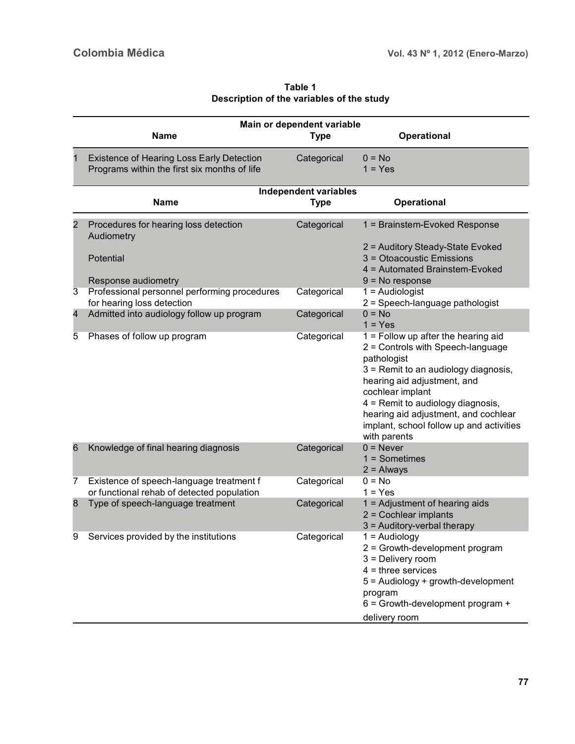**Table 1 Description of the variables of the study**

|                | Main or dependent variable<br><b>Name</b>                                                 |                                             |                                                                                                                                                                                                                                                                                                                               |  |  |  |  |  |
|----------------|-------------------------------------------------------------------------------------------|---------------------------------------------|-------------------------------------------------------------------------------------------------------------------------------------------------------------------------------------------------------------------------------------------------------------------------------------------------------------------------------|--|--|--|--|--|
|                |                                                                                           | <b>Type</b>                                 | Operational                                                                                                                                                                                                                                                                                                                   |  |  |  |  |  |
| 1              | Existence of Hearing Loss Early Detection<br>Programs within the first six months of life | Categorical                                 | $0 = No$<br>$1 = Yes$                                                                                                                                                                                                                                                                                                         |  |  |  |  |  |
|                | <b>Name</b>                                                                               | <b>Independent variables</b><br><b>Type</b> | Operational                                                                                                                                                                                                                                                                                                                   |  |  |  |  |  |
| $\overline{2}$ | Procedures for hearing loss detection<br>Audiometry<br>Potential                          | Categorical                                 | 1 = Brainstem-Evoked Response<br>2 = Auditory Steady-State Evoked<br>3 = Otoacoustic Emissions                                                                                                                                                                                                                                |  |  |  |  |  |
|                | Response audiometry                                                                       |                                             | 4 = Automated Brainstem-Evoked<br>$9 = No$ response                                                                                                                                                                                                                                                                           |  |  |  |  |  |
| 3              | Professional personnel performing procedures<br>for hearing loss detection                | Categorical                                 | $1 =$ Audiologist<br>2 = Speech-language pathologist                                                                                                                                                                                                                                                                          |  |  |  |  |  |
| 4              | Admitted into audiology follow up program                                                 | Categorical                                 | $0 = No$<br>$1 = Yes$                                                                                                                                                                                                                                                                                                         |  |  |  |  |  |
| 5              | Phases of follow up program                                                               | Categorical                                 | $1 =$ Follow up after the hearing aid<br>2 = Controls with Speech-language<br>pathologist<br>3 = Remit to an audiology diagnosis,<br>hearing aid adjustment, and<br>cochlear implant<br>4 = Remit to audiology diagnosis,<br>hearing aid adjustment, and cochlear<br>implant, school follow up and activities<br>with parents |  |  |  |  |  |
| 6              | Knowledge of final hearing diagnosis                                                      | Categorical                                 | $0 =$ Never<br>$1 =$ Sometimes<br>$2 =$ Always                                                                                                                                                                                                                                                                                |  |  |  |  |  |
| 7              | Existence of speech-language treatment f<br>or functional rehab of detected population    | Categorical                                 | $0 = No$<br>$1 = Yes$                                                                                                                                                                                                                                                                                                         |  |  |  |  |  |
| 8              | Type of speech-language treatment                                                         | Categorical                                 | 1 = Adjustment of hearing aids<br>$2 =$ Cochlear implants<br>3 = Auditory-verbal therapy                                                                                                                                                                                                                                      |  |  |  |  |  |
| 9              | Services provided by the institutions                                                     | Categorical                                 | $1 =$ Audiology<br>2 = Growth-development program<br>$3$ = Delivery room<br>$4 =$ three services<br>5 = Audiology + growth-development<br>program<br>$6 =$ Growth-development program +<br>delivery room                                                                                                                      |  |  |  |  |  |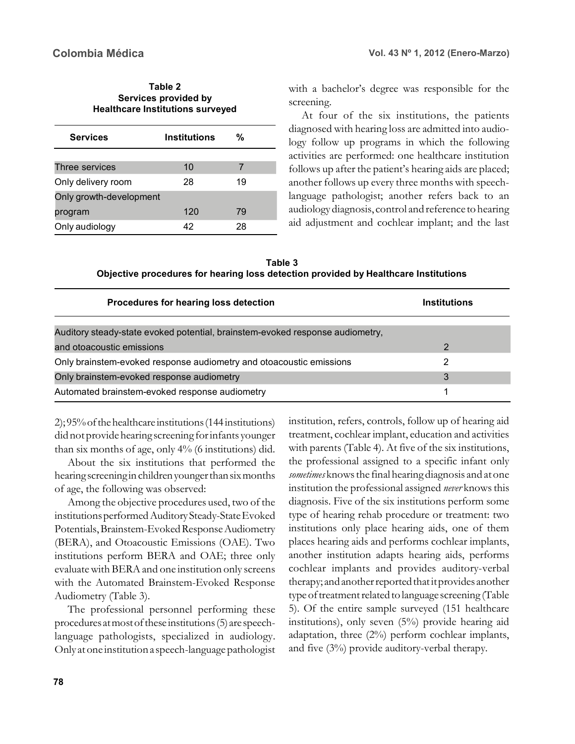| Table 2                                 |
|-----------------------------------------|
| Services provided by                    |
| <b>Healthcare Institutions surveyed</b> |

| <b>Services</b>         | <b>Institutions</b> | %  |  |
|-------------------------|---------------------|----|--|
|                         |                     |    |  |
| Three services          | 10                  |    |  |
| Only delivery room      | 28                  | 19 |  |
| Only growth-development |                     |    |  |
| program                 | 120                 | 79 |  |
| Only audiology          | 42                  | 28 |  |

with a bachelor's degree was responsible for the screening.

At four of the six institutions, the patients diagnosed with hearing loss are admitted into audiology follow up programs in which the following activities are performed: one healthcare institution follows up after the patient's hearing aids are placed; another follows up every three months with speechlanguage pathologist; another refers back to an audiology diagnosis, control and reference to hearing aid adjustment and cochlear implant; and the last

**Table 3 Objective procedures for hearing loss detection provided by Healthcare Institutions**

| Procedures for hearing loss detection                                         | <b>Institutions</b> |
|-------------------------------------------------------------------------------|---------------------|
| Auditory steady-state evoked potential, brainstem-evoked response audiometry, |                     |
| and otoacoustic emissions                                                     | 2                   |
| Only brainstem-evoked response audiometry and otoacoustic emissions           |                     |
| Only brainstem-evoked response audiometry                                     | 3                   |
| Automated brainstem-evoked response audiometry                                |                     |

2); 95% of the healthcare institutions (144 institutions) did not provide hearing screening for infants younger than six months of age, only 4% (6 institutions) did.

About the six institutions that performed the hearing screening in children younger than six months of age, the following was observed:

Among the objective procedures used, two of the institutions performed Auditory Steady-State Evoked Potentials, Brainstem-Evoked Response Audiometry (BERA), and Otoacoustic Emissions (OAE). Two institutions perform BERA and OAE; three only evaluate with BERA and one institution only screens with the Automated Brainstem-Evoked Response Audiometry (Table 3).

The professional personnel performing these procedures at most of these institutions (5) are speechlanguage pathologists, specialized in audiology. Only at one institution a speech-language pathologist institution, refers, controls, follow up of hearing aid treatment, cochlear implant, education and activities with parents (Table 4). At five of the six institutions, the professional assigned to a specific infant only *sometimes* knows the final hearing diagnosis and at one institution the professional assigned *never* knows this diagnosis. Five of the six institutions perform some type of hearing rehab procedure or treatment: two institutions only place hearing aids, one of them places hearing aids and performs cochlear implants, another institution adapts hearing aids, performs cochlear implants and provides auditory-verbal therapy; and another reported that it provides another type of treatment related to language screening (Table 5). Of the entire sample surveyed (151 healthcare institutions), only seven (5%) provide hearing aid adaptation, three (2%) perform cochlear implants, and five (3%) provide auditory-verbal therapy.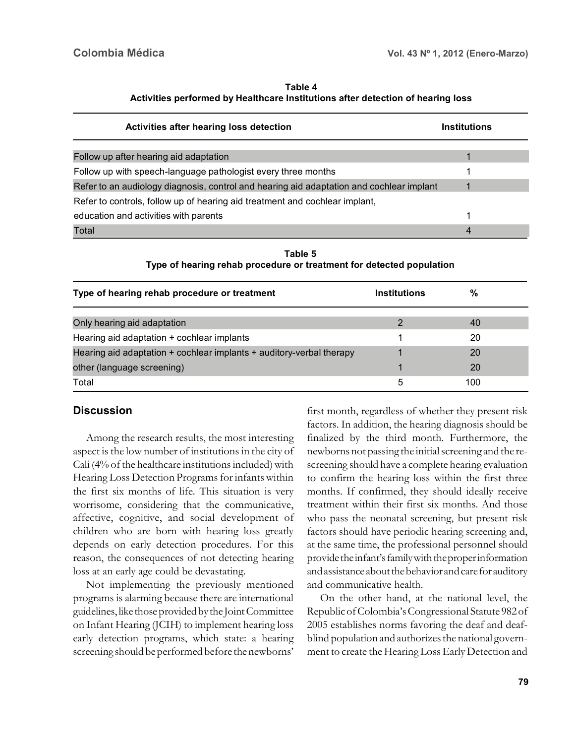| Table 4                                                                         |
|---------------------------------------------------------------------------------|
| Activities performed by Healthcare Institutions after detection of hearing loss |

| Activities after hearing loss detection                                                  |                     | <b>Institutions</b> |  |  |  |  |  |
|------------------------------------------------------------------------------------------|---------------------|---------------------|--|--|--|--|--|
|                                                                                          |                     |                     |  |  |  |  |  |
| Follow up after hearing aid adaptation                                                   |                     |                     |  |  |  |  |  |
| Follow up with speech-language pathologist every three months                            |                     |                     |  |  |  |  |  |
| Refer to an audiology diagnosis, control and hearing aid adaptation and cochlear implant |                     |                     |  |  |  |  |  |
| Refer to controls, follow up of hearing aid treatment and cochlear implant,              |                     |                     |  |  |  |  |  |
| education and activities with parents                                                    |                     |                     |  |  |  |  |  |
| Total                                                                                    |                     | 4                   |  |  |  |  |  |
| Table 5<br>Type of hearing rehab procedure or treatment for detected population          |                     |                     |  |  |  |  |  |
| Type of hearing rehab procedure or treatment                                             | <b>Institutions</b> | $\frac{0}{0}$       |  |  |  |  |  |
| Only hearing aid adaptation                                                              | 2                   | 40                  |  |  |  |  |  |
| Hearing aid adaptation + cochlear implants                                               |                     | 20                  |  |  |  |  |  |
| Hearing aid adaptation + cochlear implants + auditory-verbal therapy                     |                     | 20                  |  |  |  |  |  |
| other (language screening)                                                               |                     | 20                  |  |  |  |  |  |

 $\Gamma$ otal  $\sim$  100

# **Discussion**

Among the research results, the most interesting aspect is the low number of institutions in the city of Cali (4% of the healthcare institutions included) with Hearing Loss Detection Programs for infants within the first six months of life. This situation is very worrisome, considering that the communicative, affective, cognitive, and social development of children who are born with hearing loss greatly depends on early detection procedures. For this reason, the consequences of not detecting hearing loss at an early age could be devastating.

Not implementing the previously mentioned programs is alarming because there are international guidelines, like those provided by the Joint Committee on Infant Hearing (JCIH) to implement hearing loss early detection programs, which state: a hearing screening should be performed before the newborns'

first month, regardless of whether they present risk factors. In addition, the hearing diagnosis should be finalized by the third month. Furthermore, the newborns not passing the initial screening and the rescreening should have a complete hearing evaluation to confirm the hearing loss within the first three months. If confirmed, they should ideally receive treatment within their first six months. And those who pass the neonatal screening, but present risk factors should have periodic hearing screening and, at the same time, the professional personnel should provide the infant's family with the proper information and assistance about the behavior and care for auditory and communicative health.

On the other hand, at the national level, the Republic of Colombia's Congressional Statute 982 of 2005 establishes norms favoring the deaf and deafblind population and authorizes the national government to create the Hearing Loss Early Detection and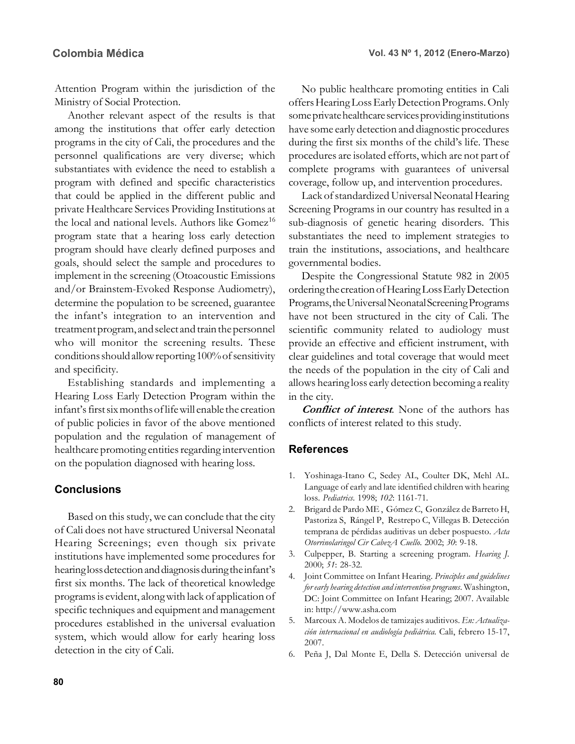Attention Program within the jurisdiction of the Ministry of Social Protection.

Another relevant aspect of the results is that among the institutions that offer early detection programs in the city of Cali, the procedures and the personnel qualifications are very diverse; which substantiates with evidence the need to establish a program with defined and specific characteristics that could be applied in the different public and private Healthcare Services Providing Institutions at the local and national levels. Authors like Gomez<sup>16</sup> program state that a hearing loss early detection program should have clearly defined purposes and goals, should select the sample and procedures to implement in the screening (Otoacoustic Emissions and/or Brainstem-Evoked Response Audiometry), determine the population to be screened, guarantee the infant's integration to an intervention and treatment program, and select and train the personnel who will monitor the screening results. These conditions should allow reporting 100% of sensitivity and specificity.

Establishing standards and implementing a Hearing Loss Early Detection Program within the infant's first six months of life will enable the creation of public policies in favor of the above mentioned population and the regulation of management of healthcare promoting entities regarding intervention on the population diagnosed with hearing loss.

### **Conclusions**

Based on this study, we can conclude that the city of Cali does not have structured Universal Neonatal Hearing Screenings; even though six private institutions have implemented some procedures for hearing loss detection and diagnosis during the infant's first six months. The lack of theoretical knowledge programs is evident, along with lack of application of specific techniques and equipment and management procedures established in the universal evaluation system, which would allow for early hearing loss detection in the city of Cali.

No public healthcare promoting entities in Cali offers Hearing Loss Early Detection Programs. Only some private healthcare services providing institutions have some early detection and diagnostic procedures during the first six months of the child's life. These procedures are isolated efforts, which are not part of complete programs with guarantees of universal coverage, follow up, and intervention procedures.

Lack of standardized Universal Neonatal Hearing Screening Programs in our country has resulted in a sub-diagnosis of genetic hearing disorders. This substantiates the need to implement strategies to train the institutions, associations, and healthcare governmental bodies.

Despite the Congressional Statute 982 in 2005 ordering the creation of Hearing Loss Early Detection Programs, the Universal Neonatal Screening Programs have not been structured in the city of Cali. The scientific community related to audiology must provide an effective and efficient instrument, with clear guidelines and total coverage that would meet the needs of the population in the city of Cali and allows hearing loss early detection becoming a reality in the city.

**Conflict of interest***.* None of the authors has conflicts of interest related to this study.

### **References**

- 1. Yoshinaga-Itano C, Sedey AL, Coulter DK, Mehl AL. Language of early and late identified children with hearing loss. *Pediatrics.* 1998; *102*: 1161-71.
- 2. Brigard de Pardo ME , Gómez C, González de Barreto H, Pastoriza S, Rángel P, Restrepo C, Villegas B. Detección temprana de pérdidas auditivas un deber pospuesto. *Acta Otorrinolaringol Cir CabezA Cuello.* 2002; *30*: 9-18.
- 3. Culpepper, B. Starting a screening program. *Hearing J.* 2000; *51*: 28-32.
- 4. Joint Committee on Infant Hearing. *Principles and guidelines for early hearing detection and intervention programs*. Washington, DC: Joint Committee on Infant Hearing; 2007. Available in: http://www.asha.com
- 5. Marcoux A. Modelos de tamizajes auditivos. *En: Actualización internacional en audiología pediátrica.* Cali, febrero 15-17, 2007.
- 6. Peña J, Dal Monte E, Della S. Detección universal de